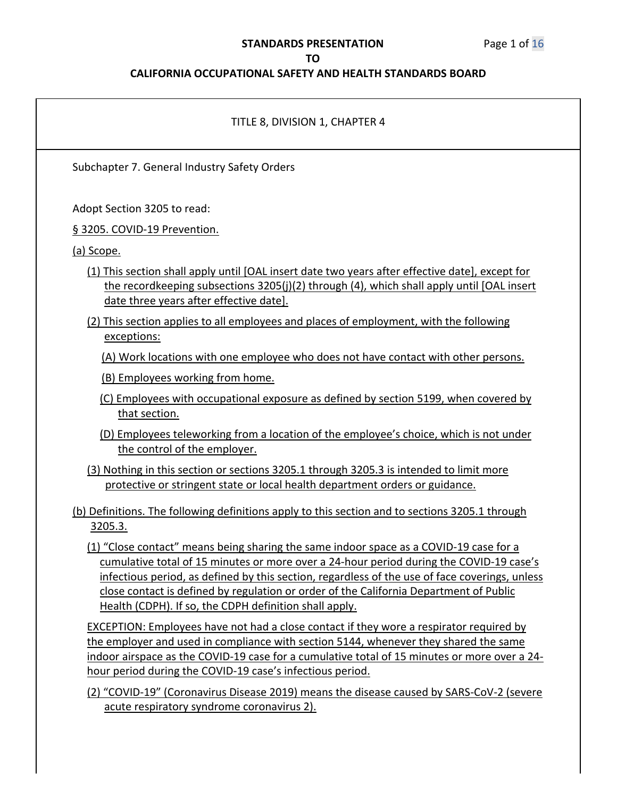# **STANDARDS PRESENTATION** Page 1 of 16

#### **TO**

| TITLE 8, DIVISION 1, CHAPTER 4                                                                                                                                                                                                                                                                                                                                                                                                          |
|-----------------------------------------------------------------------------------------------------------------------------------------------------------------------------------------------------------------------------------------------------------------------------------------------------------------------------------------------------------------------------------------------------------------------------------------|
| Subchapter 7. General Industry Safety Orders                                                                                                                                                                                                                                                                                                                                                                                            |
| Adopt Section 3205 to read:<br>§ 3205. COVID-19 Prevention.                                                                                                                                                                                                                                                                                                                                                                             |
| (a) Scope.                                                                                                                                                                                                                                                                                                                                                                                                                              |
| (1) This section shall apply until [OAL insert date two years after effective date], except for<br>the recordkeeping subsections 3205(j)(2) through (4), which shall apply until [OAL insert<br>date three years after effective date].                                                                                                                                                                                                 |
| (2) This section applies to all employees and places of employment, with the following<br>exceptions:                                                                                                                                                                                                                                                                                                                                   |
| (A) Work locations with one employee who does not have contact with other persons.                                                                                                                                                                                                                                                                                                                                                      |
| (B) Employees working from home.                                                                                                                                                                                                                                                                                                                                                                                                        |
| (C) Employees with occupational exposure as defined by section 5199, when covered by<br>that section.                                                                                                                                                                                                                                                                                                                                   |
| (D) Employees teleworking from a location of the employee's choice, which is not under<br>the control of the employer.                                                                                                                                                                                                                                                                                                                  |
| (3) Nothing in this section or sections 3205.1 through 3205.3 is intended to limit more<br>protective or stringent state or local health department orders or guidance.                                                                                                                                                                                                                                                                 |
| (b) Definitions. The following definitions apply to this section and to sections 3205.1 through<br>3205.3.                                                                                                                                                                                                                                                                                                                              |
| (1) "Close contact" means being sharing the same indoor space as a COVID-19 case for a<br>cumulative total of 15 minutes or more over a 24-hour period during the COVID-19 case's<br>infectious period, as defined by this section, regardless of the use of face coverings, unless<br>close contact is defined by regulation or order of the California Department of Public<br>Health (CDPH). If so, the CDPH definition shall apply. |
| EXCEPTION: Employees have not had a close contact if they wore a respirator required by<br>the employer and used in compliance with section 5144, whenever they shared the same<br>indoor airspace as the COVID-19 case for a cumulative total of 15 minutes or more over a 24-<br>hour period during the COVID-19 case's infectious period.                                                                                            |
| (2) "COVID-19" (Coronavirus Disease 2019) means the disease caused by SARS-CoV-2 (severe<br>acute respiratory syndrome coronavirus 2).                                                                                                                                                                                                                                                                                                  |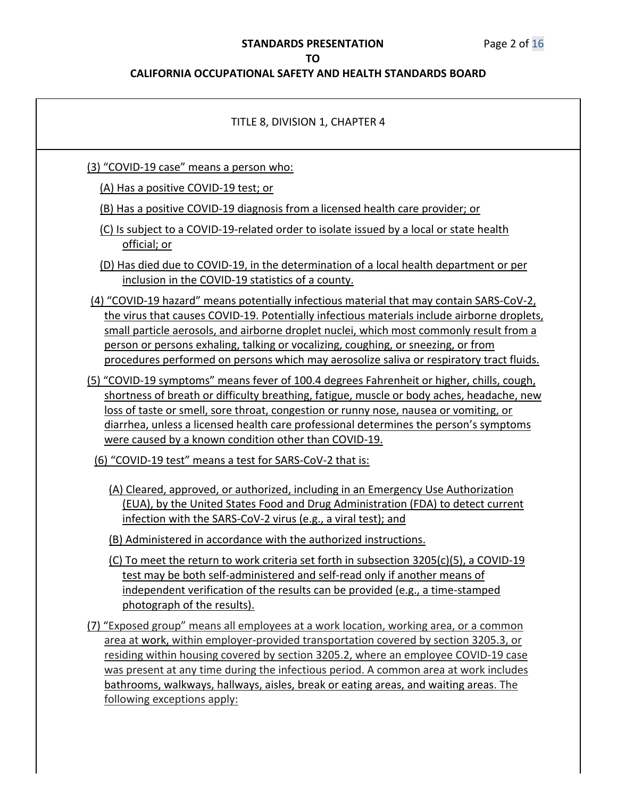| TITLE 8, DIVISION 1, CHAPTER 4                                                                                                                                                                                                                                                                                                                                                                                                                                                    |
|-----------------------------------------------------------------------------------------------------------------------------------------------------------------------------------------------------------------------------------------------------------------------------------------------------------------------------------------------------------------------------------------------------------------------------------------------------------------------------------|
| (3) "COVID-19 case" means a person who:                                                                                                                                                                                                                                                                                                                                                                                                                                           |
| (A) Has a positive COVID-19 test; or                                                                                                                                                                                                                                                                                                                                                                                                                                              |
| (B) Has a positive COVID-19 diagnosis from a licensed health care provider; or                                                                                                                                                                                                                                                                                                                                                                                                    |
| (C) Is subject to a COVID-19-related order to isolate issued by a local or state health<br>official; or                                                                                                                                                                                                                                                                                                                                                                           |
| (D) Has died due to COVID-19, in the determination of a local health department or per<br>inclusion in the COVID-19 statistics of a county.                                                                                                                                                                                                                                                                                                                                       |
| (4) "COVID-19 hazard" means potentially infectious material that may contain SARS-CoV-2,<br>the virus that causes COVID-19. Potentially infectious materials include airborne droplets,<br>small particle aerosols, and airborne droplet nuclei, which most commonly result from a<br>person or persons exhaling, talking or vocalizing, coughing, or sneezing, or from<br>procedures performed on persons which may aerosolize saliva or respiratory tract fluids.               |
| (5) "COVID-19 symptoms" means fever of 100.4 degrees Fahrenheit or higher, chills, cough,<br>shortness of breath or difficulty breathing, fatigue, muscle or body aches, headache, new<br>loss of taste or smell, sore throat, congestion or runny nose, nausea or vomiting, or<br>diarrhea, unless a licensed health care professional determines the person's symptoms<br>were caused by a known condition other than COVID-19.                                                 |
| (6) "COVID-19 test" means a test for SARS-CoV-2 that is:                                                                                                                                                                                                                                                                                                                                                                                                                          |
| (A) Cleared, approved, or authorized, including in an Emergency Use Authorization<br>(EUA), by the United States Food and Drug Administration (FDA) to detect current<br>infection with the SARS-CoV-2 virus (e.g., a viral test); and<br>(B) Administered in accordance with the authorized instructions.                                                                                                                                                                        |
| (C) To meet the return to work criteria set forth in subsection 3205(c)(5), a COVID-19<br>test may be both self-administered and self-read only if another means of<br>independent verification of the results can be provided (e.g., a time-stamped<br>photograph of the results).                                                                                                                                                                                               |
| (7) "Exposed group" means all employees at a work location, working area, or a common<br>area at work, within employer-provided transportation covered by section 3205.3, or<br>residing within housing covered by section 3205.2, where an employee COVID-19 case<br>was present at any time during the infectious period. A common area at work includes<br>bathrooms, walkways, hallways, aisles, break or eating areas, and waiting areas. The<br>following exceptions apply: |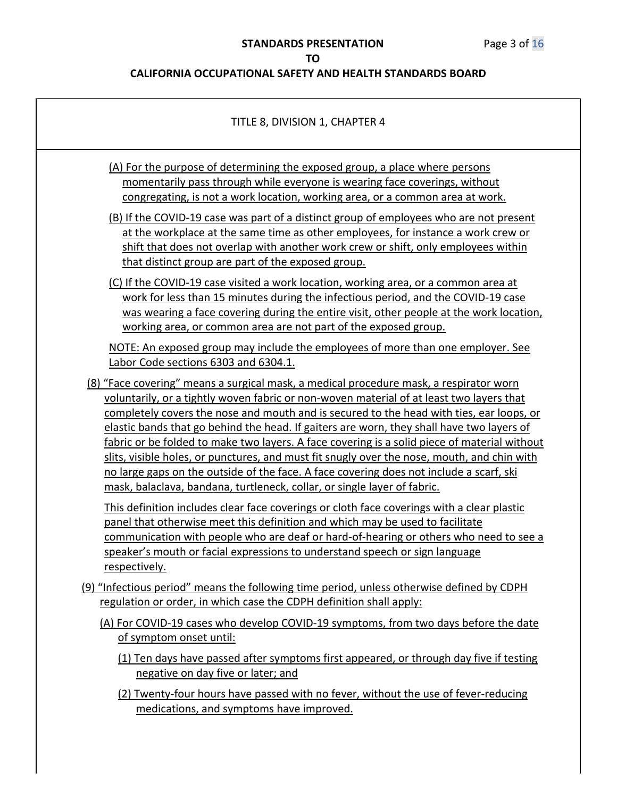| TITLE 8, DIVISION 1, CHAPTER 4                                                                                                                                                                                                                                                                                                                                                                                                                                                                                                                                                                                                                                                                                                                    |
|---------------------------------------------------------------------------------------------------------------------------------------------------------------------------------------------------------------------------------------------------------------------------------------------------------------------------------------------------------------------------------------------------------------------------------------------------------------------------------------------------------------------------------------------------------------------------------------------------------------------------------------------------------------------------------------------------------------------------------------------------|
| (A) For the purpose of determining the exposed group, a place where persons<br>momentarily pass through while everyone is wearing face coverings, without<br>congregating, is not a work location, working area, or a common area at work.                                                                                                                                                                                                                                                                                                                                                                                                                                                                                                        |
| (B) If the COVID-19 case was part of a distinct group of employees who are not present<br>at the workplace at the same time as other employees, for instance a work crew or<br>shift that does not overlap with another work crew or shift, only employees within<br>that distinct group are part of the exposed group.                                                                                                                                                                                                                                                                                                                                                                                                                           |
| (C) If the COVID-19 case visited a work location, working area, or a common area at<br>work for less than 15 minutes during the infectious period, and the COVID-19 case<br>was wearing a face covering during the entire visit, other people at the work location,<br>working area, or common area are not part of the exposed group.                                                                                                                                                                                                                                                                                                                                                                                                            |
| NOTE: An exposed group may include the employees of more than one employer. See<br>Labor Code sections 6303 and 6304.1.                                                                                                                                                                                                                                                                                                                                                                                                                                                                                                                                                                                                                           |
| (8) "Face covering" means a surgical mask, a medical procedure mask, a respirator worn<br>voluntarily, or a tightly woven fabric or non-woven material of at least two layers that<br>completely covers the nose and mouth and is secured to the head with ties, ear loops, or<br>elastic bands that go behind the head. If gaiters are worn, they shall have two layers of<br>fabric or be folded to make two layers. A face covering is a solid piece of material without<br>slits, visible holes, or punctures, and must fit snugly over the nose, mouth, and chin with<br>no large gaps on the outside of the face. A face covering does not include a scarf, ski<br>mask, balaclava, bandana, turtleneck, collar, or single layer of fabric. |
| This definition includes clear face coverings or cloth face coverings with a clear plastic<br>panel that otherwise meet this definition and which may be used to facilitate<br>communication with people who are deaf or hard-of-hearing or others who need to see a<br>speaker's mouth or facial expressions to understand speech or sign language<br><u>respectively.</u>                                                                                                                                                                                                                                                                                                                                                                       |
| (9) "Infectious period" means the following time period, unless otherwise defined by CDPH<br>regulation or order, in which case the CDPH definition shall apply:                                                                                                                                                                                                                                                                                                                                                                                                                                                                                                                                                                                  |
| (A) For COVID-19 cases who develop COVID-19 symptoms, from two days before the date<br>of symptom onset until:                                                                                                                                                                                                                                                                                                                                                                                                                                                                                                                                                                                                                                    |
| (1) Ten days have passed after symptoms first appeared, or through day five if testing<br>negative on day five or later; and                                                                                                                                                                                                                                                                                                                                                                                                                                                                                                                                                                                                                      |
| (2) Twenty-four hours have passed with no fever, without the use of fever-reducing<br>medications, and symptoms have improved.                                                                                                                                                                                                                                                                                                                                                                                                                                                                                                                                                                                                                    |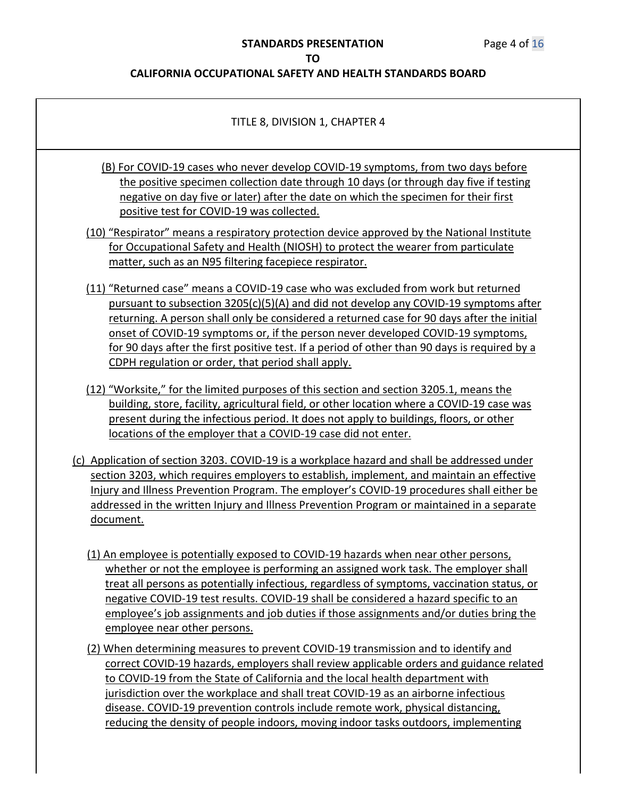| TITLE 8, DIVISION 1, CHAPTER 4                                                                                                                                                                                                                                                                                                                                                                                                                                                                                                |
|-------------------------------------------------------------------------------------------------------------------------------------------------------------------------------------------------------------------------------------------------------------------------------------------------------------------------------------------------------------------------------------------------------------------------------------------------------------------------------------------------------------------------------|
| (B) For COVID-19 cases who never develop COVID-19 symptoms, from two days before<br>the positive specimen collection date through 10 days (or through day five if testing<br>negative on day five or later) after the date on which the specimen for their first<br>positive test for COVID-19 was collected.                                                                                                                                                                                                                 |
| (10) "Respirator" means a respiratory protection device approved by the National Institute<br>for Occupational Safety and Health (NIOSH) to protect the wearer from particulate<br>matter, such as an N95 filtering facepiece respirator.                                                                                                                                                                                                                                                                                     |
| (11) "Returned case" means a COVID-19 case who was excluded from work but returned<br>pursuant to subsection 3205(c)(5)(A) and did not develop any COVID-19 symptoms after<br>returning. A person shall only be considered a returned case for 90 days after the initial<br>onset of COVID-19 symptoms or, if the person never developed COVID-19 symptoms,<br>for 90 days after the first positive test. If a period of other than 90 days is required by a<br>CDPH regulation or order, that period shall apply.            |
| (12) "Worksite," for the limited purposes of this section and section 3205.1, means the<br>building, store, facility, agricultural field, or other location where a COVID-19 case was<br>present during the infectious period. It does not apply to buildings, floors, or other<br>locations of the employer that a COVID-19 case did not enter.                                                                                                                                                                              |
| (c) Application of section 3203. COVID-19 is a workplace hazard and shall be addressed under<br>section 3203, which requires employers to establish, implement, and maintain an effective<br>Injury and Illness Prevention Program. The employer's COVID-19 procedures shall either be<br>addressed in the written Injury and Illness Prevention Program or maintained in a separate<br>document.                                                                                                                             |
| (1) An employee is potentially exposed to COVID-19 hazards when near other persons,<br>whether or not the employee is performing an assigned work task. The employer shall<br>treat all persons as potentially infectious, regardless of symptoms, vaccination status, or<br>negative COVID-19 test results. COVID-19 shall be considered a hazard specific to an<br>employee's job assignments and job duties if those assignments and/or duties bring the<br>employee near other persons.                                   |
| (2) When determining measures to prevent COVID-19 transmission and to identify and<br>correct COVID-19 hazards, employers shall review applicable orders and guidance related<br>to COVID-19 from the State of California and the local health department with<br>jurisdiction over the workplace and shall treat COVID-19 as an airborne infectious<br>disease. COVID-19 prevention controls include remote work, physical distancing,<br>reducing the density of people indoors, moving indoor tasks outdoors, implementing |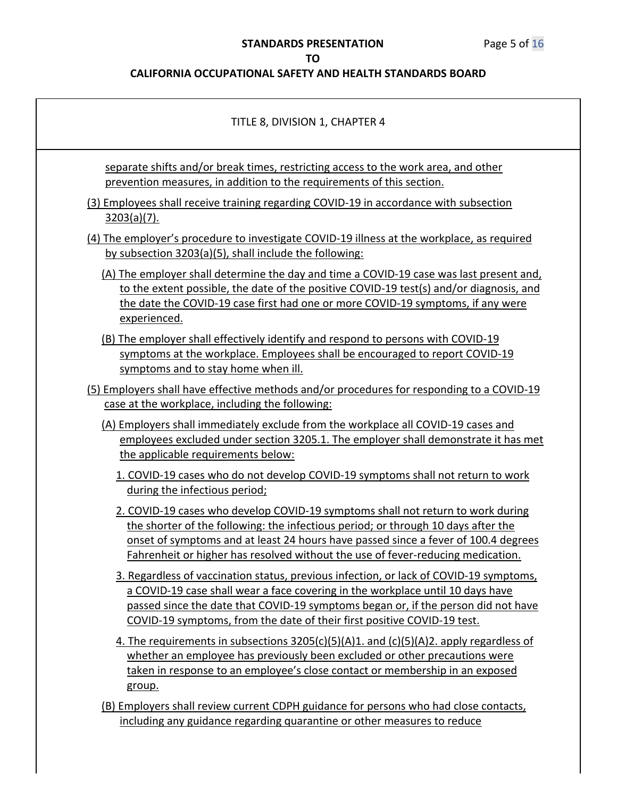# **STANDARDS PRESENTATION** Page 5 of 16

#### **TO**

| TITLE 8, DIVISION 1, CHAPTER 4                                                                                                                                                                                                                                                                                                                |
|-----------------------------------------------------------------------------------------------------------------------------------------------------------------------------------------------------------------------------------------------------------------------------------------------------------------------------------------------|
| separate shifts and/or break times, restricting access to the work area, and other<br>prevention measures, in addition to the requirements of this section.                                                                                                                                                                                   |
| (3) Employees shall receive training regarding COVID-19 in accordance with subsection<br>$3203(a)(7)$ .                                                                                                                                                                                                                                       |
| (4) The employer's procedure to investigate COVID-19 illness at the workplace, as required<br>by subsection 3203(a)(5), shall include the following:                                                                                                                                                                                          |
| (A) The employer shall determine the day and time a COVID-19 case was last present and,<br>to the extent possible, the date of the positive COVID-19 test(s) and/or diagnosis, and<br>the date the COVID-19 case first had one or more COVID-19 symptoms, if any were<br>experienced.                                                         |
| (B) The employer shall effectively identify and respond to persons with COVID-19<br>symptoms at the workplace. Employees shall be encouraged to report COVID-19<br>symptoms and to stay home when ill.                                                                                                                                        |
| (5) Employers shall have effective methods and/or procedures for responding to a COVID-19<br>case at the workplace, including the following:                                                                                                                                                                                                  |
| (A) Employers shall immediately exclude from the workplace all COVID-19 cases and<br>employees excluded under section 3205.1. The employer shall demonstrate it has met<br>the applicable requirements below:                                                                                                                                 |
| 1. COVID-19 cases who do not develop COVID-19 symptoms shall not return to work<br>during the infectious period;                                                                                                                                                                                                                              |
| 2. COVID-19 cases who develop COVID-19 symptoms shall not return to work during<br>the shorter of the following: the infectious period; or through 10 days after the<br>onset of symptoms and at least 24 hours have passed since a fever of 100.4 degrees<br>Fahrenheit or higher has resolved without the use of fever-reducing medication. |
| 3. Regardless of vaccination status, previous infection, or lack of COVID-19 symptoms,<br>a COVID-19 case shall wear a face covering in the workplace until 10 days have<br>passed since the date that COVID-19 symptoms began or, if the person did not have<br>COVID-19 symptoms, from the date of their first positive COVID-19 test.      |
| 4. The requirements in subsections $3205(c)(5)(A)1$ and $(c)(5)(A)2$ apply regardless of<br>whether an employee has previously been excluded or other precautions were<br>taken in response to an employee's close contact or membership in an exposed<br>group.                                                                              |
| (B) Employers shall review current CDPH guidance for persons who had close contacts,<br>including any guidance regarding quarantine or other measures to reduce                                                                                                                                                                               |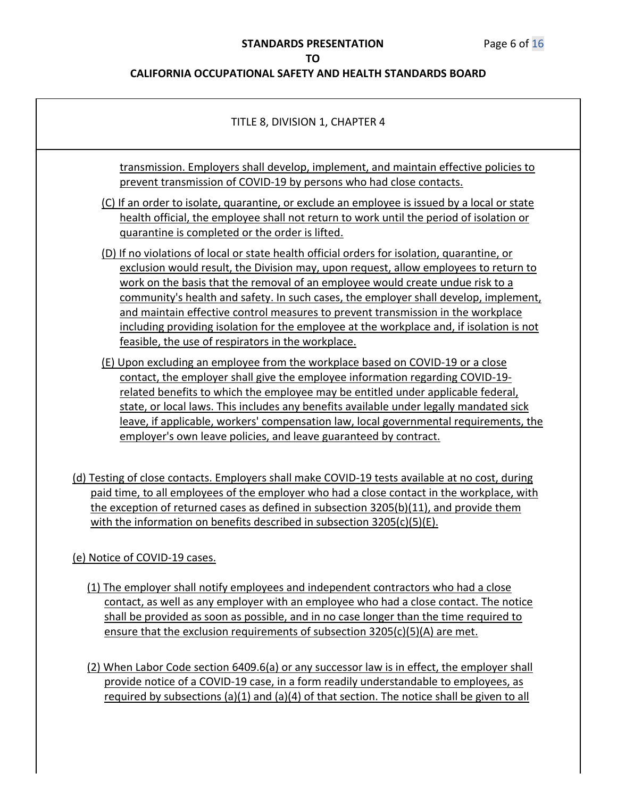| TITLE 8, DIVISION 1, CHAPTER 4                                                                                                                                                                                                                                                                                                                                                                                                                                                                                                                                                                      |
|-----------------------------------------------------------------------------------------------------------------------------------------------------------------------------------------------------------------------------------------------------------------------------------------------------------------------------------------------------------------------------------------------------------------------------------------------------------------------------------------------------------------------------------------------------------------------------------------------------|
| transmission. Employers shall develop, implement, and maintain effective policies to<br>prevent transmission of COVID-19 by persons who had close contacts.                                                                                                                                                                                                                                                                                                                                                                                                                                         |
| (C) If an order to isolate, quarantine, or exclude an employee is issued by a local or state<br>health official, the employee shall not return to work until the period of isolation or<br>quarantine is completed or the order is lifted.                                                                                                                                                                                                                                                                                                                                                          |
| (D) If no violations of local or state health official orders for isolation, quarantine, or<br>exclusion would result, the Division may, upon request, allow employees to return to<br>work on the basis that the removal of an employee would create undue risk to a<br>community's health and safety. In such cases, the employer shall develop, implement,<br>and maintain effective control measures to prevent transmission in the workplace<br>including providing isolation for the employee at the workplace and, if isolation is not<br>feasible, the use of respirators in the workplace. |
| (E) Upon excluding an employee from the workplace based on COVID-19 or a close<br>contact, the employer shall give the employee information regarding COVID-19-<br>related benefits to which the employee may be entitled under applicable federal,<br>state, or local laws. This includes any benefits available under legally mandated sick<br>leave, if applicable, workers' compensation law, local governmental requirements, the<br>employer's own leave policies, and leave guaranteed by contract.                                                                                          |
| (d) Testing of close contacts. Employers shall make COVID-19 tests available at no cost, during<br>paid time, to all employees of the employer who had a close contact in the workplace, with<br>the exception of returned cases as defined in subsection 3205(b)(11), and provide them<br>with the information on benefits described in subsection $3205(c)(5)(E)$ .                                                                                                                                                                                                                               |
| (e) Notice of COVID-19 cases.                                                                                                                                                                                                                                                                                                                                                                                                                                                                                                                                                                       |
| (1) The employer shall notify employees and independent contractors who had a close<br>contact, as well as any employer with an employee who had a close contact. The notice<br>shall be provided as soon as possible, and in no case longer than the time required to<br>ensure that the exclusion requirements of subsection 3205(c)(5)(A) are met.                                                                                                                                                                                                                                               |
| (2) When Labor Code section 6409.6(a) or any successor law is in effect, the employer shall<br>provide notice of a COVID-19 case, in a form readily understandable to employees, as<br>required by subsections (a)(1) and (a)(4) of that section. The notice shall be given to all                                                                                                                                                                                                                                                                                                                  |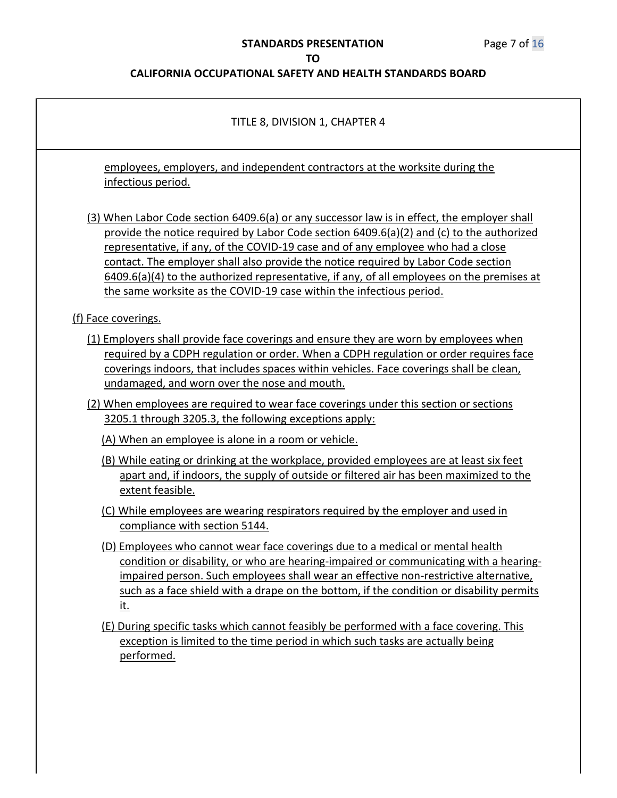# **STANDARDS PRESENTATION** Page 7 of 16

## **TO**

| TITLE 8, DIVISION 1, CHAPTER 4                                                                                                                                                                                                                                                                                                                                                                                                                                                                                                              |
|---------------------------------------------------------------------------------------------------------------------------------------------------------------------------------------------------------------------------------------------------------------------------------------------------------------------------------------------------------------------------------------------------------------------------------------------------------------------------------------------------------------------------------------------|
| employees, employers, and independent contractors at the worksite during the<br>infectious period.                                                                                                                                                                                                                                                                                                                                                                                                                                          |
| (3) When Labor Code section 6409.6(a) or any successor law is in effect, the employer shall<br>provide the notice required by Labor Code section $6409.6(a)(2)$ and (c) to the authorized<br>representative, if any, of the COVID-19 case and of any employee who had a close<br>contact. The employer shall also provide the notice required by Labor Code section<br>$6409.6(a)(4)$ to the authorized representative, if any, of all employees on the premises at<br>the same worksite as the COVID-19 case within the infectious period. |
| (f) Face coverings.                                                                                                                                                                                                                                                                                                                                                                                                                                                                                                                         |
| (1) Employers shall provide face coverings and ensure they are worn by employees when<br>required by a CDPH regulation or order. When a CDPH regulation or order requires face<br>coverings indoors, that includes spaces within vehicles. Face coverings shall be clean,<br>undamaged, and worn over the nose and mouth.                                                                                                                                                                                                                   |
| (2) When employees are required to wear face coverings under this section or sections<br>3205.1 through 3205.3, the following exceptions apply:                                                                                                                                                                                                                                                                                                                                                                                             |
| (A) When an employee is alone in a room or vehicle.                                                                                                                                                                                                                                                                                                                                                                                                                                                                                         |
| (B) While eating or drinking at the workplace, provided employees are at least six feet<br>apart and, if indoors, the supply of outside or filtered air has been maximized to the<br>extent feasible.                                                                                                                                                                                                                                                                                                                                       |
| (C) While employees are wearing respirators required by the employer and used in<br>compliance with section 5144.                                                                                                                                                                                                                                                                                                                                                                                                                           |
| (D) Employees who cannot wear face coverings due to a medical or mental health<br>condition or disability, or who are hearing-impaired or communicating with a hearing-<br>impaired person. Such employees shall wear an effective non-restrictive alternative,<br>such as a face shield with a drape on the bottom, if the condition or disability permits<br><u>it.</u>                                                                                                                                                                   |
| (E) During specific tasks which cannot feasibly be performed with a face covering. This<br>exception is limited to the time period in which such tasks are actually being<br>performed.                                                                                                                                                                                                                                                                                                                                                     |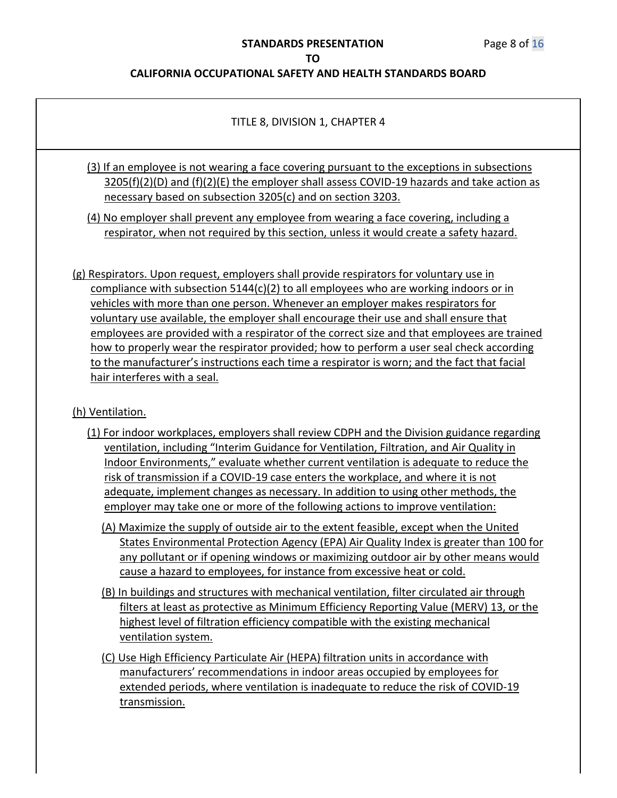#### **CALIFORNIA OCCUPATIONAL SAFETY AND HEALTH STANDARDS BOARD**

#### TITLE 8, DIVISION 1, CHAPTER 4

(3) If an employee is not wearing a face covering pursuant to the exceptions in subsections  $3205(f)(2)(D)$  and  $(f)(2)(E)$  the employer shall assess COVID-19 hazards and take action as necessary based on subsection 3205(c) and on section 3203.

(4) No employer shall prevent any employee from wearing a face covering, including a respirator, when not required by this section, unless it would create a safety hazard.

(g) Respirators. Upon request, employers shall provide respirators for voluntary use in compliance with subsection 5144(c)(2) to all employees who are working indoors or in vehicles with more than one person. Whenever an employer makes respirators for voluntary use available, the employer shall encourage their use and shall ensure that employees are provided with a respirator of the correct size and that employees are trained how to properly wear the respirator provided; how to perform a user seal check according to the manufacturer's instructions each time a respirator is worn; and the fact that facial hair interferes with a seal.

#### (h) Ventilation.

- (1) For indoor workplaces, employers shall review CDPH and the Division guidance regarding ventilation, including "Interim Guidance for Ventilation, Filtration, and Air Quality in Indoor Environments," evaluate whether current ventilation is adequate to reduce the risk of transmission if a COVID-19 case enters the workplace, and where it is not adequate, implement changes as necessary. In addition to using other methods, the employer may take one or more of the following actions to improve ventilation:
	- (A) Maximize the supply of outside air to the extent feasible, except when the United States Environmental Protection Agency (EPA) Air Quality Index is greater than 100 for any pollutant or if opening windows or maximizing outdoor air by other means would cause a hazard to employees, for instance from excessive heat or cold.
	- (B) In buildings and structures with mechanical ventilation, filter circulated air through filters at least as protective as Minimum Efficiency Reporting Value (MERV) 13, or the highest level of filtration efficiency compatible with the existing mechanical ventilation system.
	- (C) Use High Efficiency Particulate Air (HEPA) filtration units in accordance with manufacturers' recommendations in indoor areas occupied by employees for extended periods, where ventilation is inadequate to reduce the risk of COVID-19 transmission.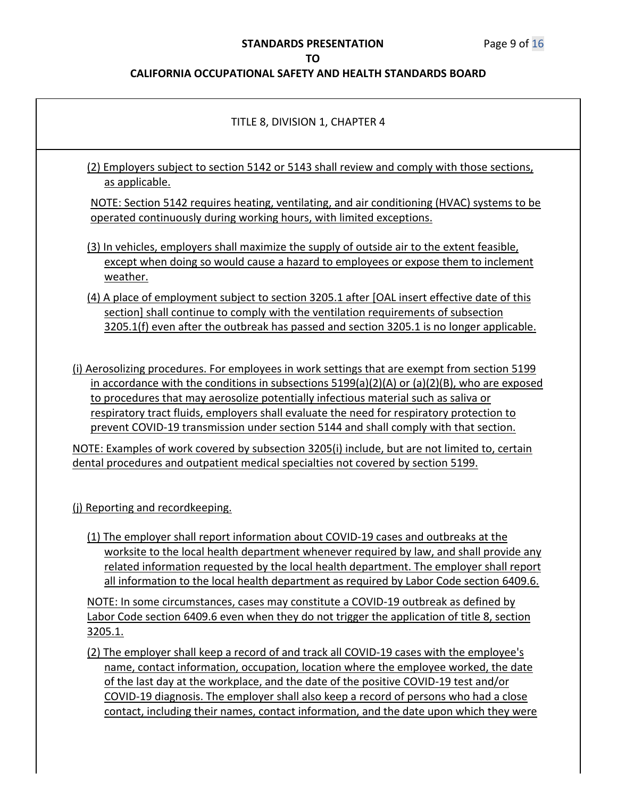# **STANDARDS PRESENTATION** Page 9 of 16

#### **TO**

| TITLE 8, DIVISION 1, CHAPTER 4                                                                                                                                                                                                                                                                                                                                                                                                                                                 |
|--------------------------------------------------------------------------------------------------------------------------------------------------------------------------------------------------------------------------------------------------------------------------------------------------------------------------------------------------------------------------------------------------------------------------------------------------------------------------------|
| (2) Employers subject to section 5142 or 5143 shall review and comply with those sections,<br>as applicable.                                                                                                                                                                                                                                                                                                                                                                   |
| NOTE: Section 5142 requires heating, ventilating, and air conditioning (HVAC) systems to be<br>operated continuously during working hours, with limited exceptions.                                                                                                                                                                                                                                                                                                            |
| (3) In vehicles, employers shall maximize the supply of outside air to the extent feasible,<br>except when doing so would cause a hazard to employees or expose them to inclement<br>weather.                                                                                                                                                                                                                                                                                  |
| (4) A place of employment subject to section 3205.1 after [OAL insert effective date of this<br>section] shall continue to comply with the ventilation requirements of subsection<br>3205.1(f) even after the outbreak has passed and section 3205.1 is no longer applicable.                                                                                                                                                                                                  |
| (i) Aerosolizing procedures. For employees in work settings that are exempt from section 5199<br>in accordance with the conditions in subsections $5199(a)(2)(A)$ or $(a)(2)(B)$ , who are exposed<br>to procedures that may aerosolize potentially infectious material such as saliva or<br>respiratory tract fluids, employers shall evaluate the need for respiratory protection to<br>prevent COVID-19 transmission under section 5144 and shall comply with that section. |
| NOTE: Examples of work covered by subsection 3205(i) include, but are not limited to, certain<br>dental procedures and outpatient medical specialties not covered by section 5199.                                                                                                                                                                                                                                                                                             |
| (i) Reporting and recordkeeping.<br>(1) The employer shall report information about COVID-19 cases and outbreaks at the<br>worksite to the local health department whenever required by law, and shall provide any<br>related information requested by the local health department. The employer shall report<br>all information to the local health department as required by Labor Code section 6409.6.                                                                      |
| NOTE: In some circumstances, cases may constitute a COVID-19 outbreak as defined by<br>Labor Code section 6409.6 even when they do not trigger the application of title 8, section                                                                                                                                                                                                                                                                                             |
| 3205.1.                                                                                                                                                                                                                                                                                                                                                                                                                                                                        |
| (2) The employer shall keep a record of and track all COVID-19 cases with the employee's<br>name, contact information, occupation, location where the employee worked, the date<br>of the last day at the workplace, and the date of the positive COVID-19 test and/or<br>COVID-19 diagnosis. The employer shall also keep a record of persons who had a close<br>contact, including their names, contact information, and the date upon which they were                       |
|                                                                                                                                                                                                                                                                                                                                                                                                                                                                                |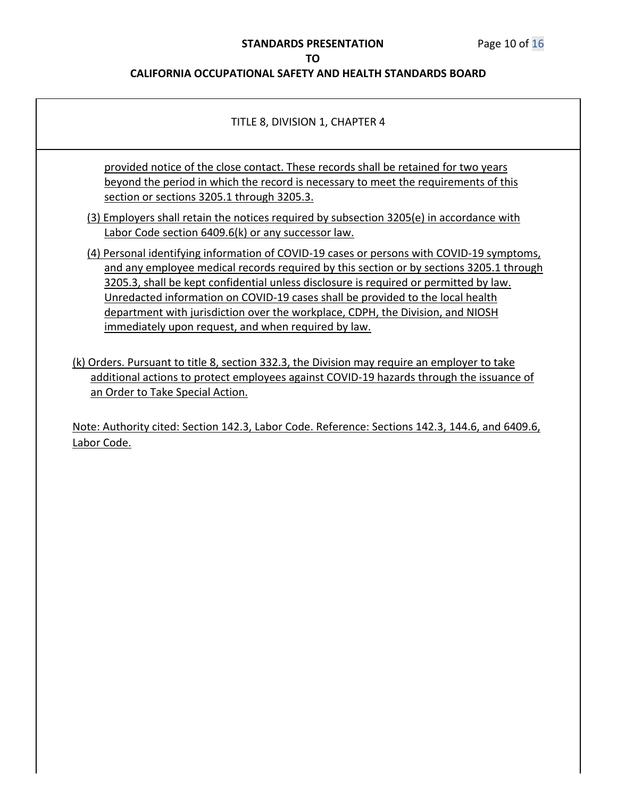#### **STANDARDS PRESENTATION** Page 10 of 16

#### **TO**

#### **CALIFORNIA OCCUPATIONAL SAFETY AND HEALTH STANDARDS BOARD**

#### TITLE 8, DIVISION 1, CHAPTER 4

provided notice of the close contact. These records shall be retained for two years beyond the period in which the record is necessary to meet the requirements of this section or sections 3205.1 through 3205.3.

(3) Employers shall retain the notices required by subsection 3205(e) in accordance with Labor Code section 6409.6(k) or any successor law.

- (4) Personal identifying information of COVID-19 cases or persons with COVID-19 symptoms, and any employee medical records required by this section or by sections 3205.1 through 3205.3, shall be kept confidential unless disclosure is required or permitted by law. Unredacted information on COVID-19 cases shall be provided to the local health department with jurisdiction over the workplace, CDPH, the Division, and NIOSH immediately upon request, and when required by law.
- (k) Orders. Pursuant to title 8, section 332.3, the Division may require an employer to take additional actions to protect employees against COVID-19 hazards through the issuance of an Order to Take Special Action.

Note: Authority cited: Section 142.3, Labor Code. Reference: Sections 142.3, 144.6, and 6409.6, Labor Code.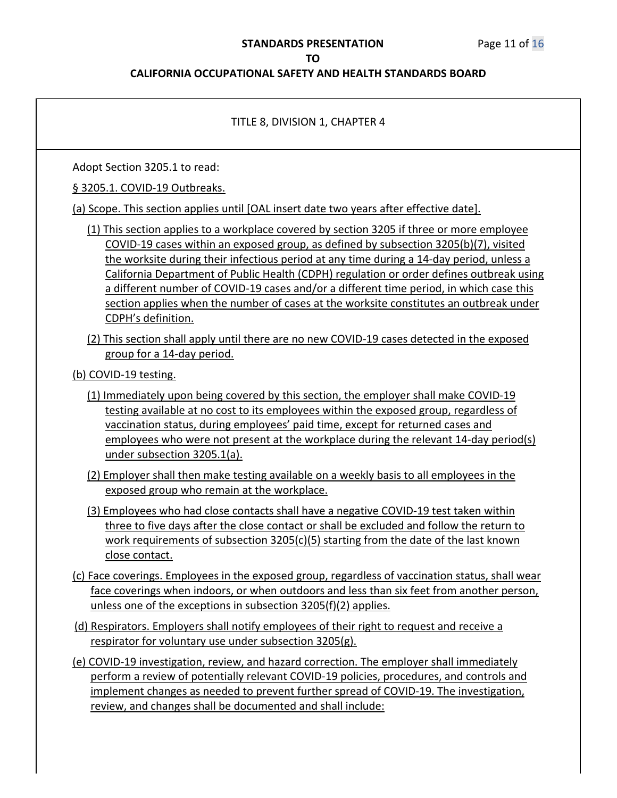#### **STANDARDS PRESENTATION** Page 11 of 16

#### **TO**

#### **CALIFORNIA OCCUPATIONAL SAFETY AND HEALTH STANDARDS BOARD**

# TITLE 8, DIVISION 1, CHAPTER 4 Adopt Section 3205.1 to read: § 3205.1. COVID-19 Outbreaks. (a) Scope. This section applies until [OAL insert date two years after effective date]. (1) This section applies to a workplace covered by section 3205 if three or more employee COVID-19 cases within an exposed group, as defined by subsection 3205(b)(7), visited the worksite during their infectious period at any time during a 14-day period, unless a California Department of Public Health (CDPH) regulation or order defines outbreak using a different number of COVID-19 cases and/or a different time period, in which case this section applies when the number of cases at the worksite constitutes an outbreak under CDPH's definition. (2) This section shall apply until there are no new COVID-19 cases detected in the exposed group for a 14-day period. (b) COVID-19 testing. (1) Immediately upon being covered by this section, the employer shall make COVID-19 testing available at no cost to its employees within the exposed group, regardless of vaccination status, during employees' paid time, except for returned cases and employees who were not present at the workplace during the relevant 14-day period(s) under subsection 3205.1(a). (2) Employer shall then make testing available on a weekly basis to all employees in the exposed group who remain at the workplace. (3) Employees who had close contacts shall have a negative COVID-19 test taken within three to five days after the close contact or shall be excluded and follow the return to work requirements of subsection 3205(c)(5) starting from the date of the last known close contact. (c) Face coverings. Employees in the exposed group, regardless of vaccination status, shall wear face coverings when indoors, or when outdoors and less than six feet from another person, unless one of the exceptions in subsection 3205(f)(2) applies. (d) Respirators. Employers shall notify employees of their right to request and receive a respirator for voluntary use under subsection 3205(g). (e) COVID-19 investigation, review, and hazard correction. The employer shall immediately perform a review of potentially relevant COVID-19 policies, procedures, and controls and implement changes as needed to prevent further spread of COVID-19. The investigation, review, and changes shall be documented and shall include: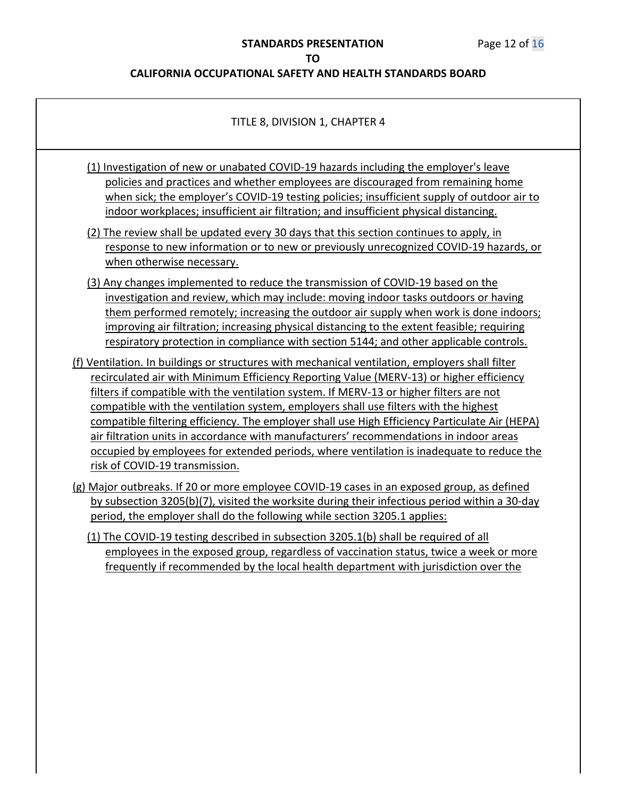| TITLE 8, DIVISION 1, CHAPTER 4                                                                                                                                                                                                                                                                                                                                                                                                                                                                                                                                                                                                                                                                                                                                                                                                                                                                                                                                                                                                                                                                                                                                      |
|---------------------------------------------------------------------------------------------------------------------------------------------------------------------------------------------------------------------------------------------------------------------------------------------------------------------------------------------------------------------------------------------------------------------------------------------------------------------------------------------------------------------------------------------------------------------------------------------------------------------------------------------------------------------------------------------------------------------------------------------------------------------------------------------------------------------------------------------------------------------------------------------------------------------------------------------------------------------------------------------------------------------------------------------------------------------------------------------------------------------------------------------------------------------|
| (1) Investigation of new or unabated COVID-19 hazards including the employer's leave<br>policies and practices and whether employees are discouraged from remaining home<br>when sick; the employer's COVID-19 testing policies; insufficient supply of outdoor air to<br>indoor workplaces; insufficient air filtration; and insufficient physical distancing.<br>(2) The review shall be updated every 30 days that this section continues to apply, in                                                                                                                                                                                                                                                                                                                                                                                                                                                                                                                                                                                                                                                                                                           |
| response to new information or to new or previously unrecognized COVID-19 hazards, or<br>when otherwise necessary.                                                                                                                                                                                                                                                                                                                                                                                                                                                                                                                                                                                                                                                                                                                                                                                                                                                                                                                                                                                                                                                  |
| (3) Any changes implemented to reduce the transmission of COVID-19 based on the<br>investigation and review, which may include: moving indoor tasks outdoors or having<br>them performed remotely; increasing the outdoor air supply when work is done indoors;<br>improving air filtration; increasing physical distancing to the extent feasible; requiring<br>respiratory protection in compliance with section 5144; and other applicable controls.<br>(f) Ventilation. In buildings or structures with mechanical ventilation, employers shall filter<br>recirculated air with Minimum Efficiency Reporting Value (MERV-13) or higher efficiency<br>filters if compatible with the ventilation system. If MERV-13 or higher filters are not<br>compatible with the ventilation system, employers shall use filters with the highest<br>compatible filtering efficiency. The employer shall use High Efficiency Particulate Air (HEPA)<br>air filtration units in accordance with manufacturers' recommendations in indoor areas<br>occupied by employees for extended periods, where ventilation is inadequate to reduce the<br>risk of COVID-19 transmission. |
| (g) Major outbreaks. If 20 or more employee COVID-19 cases in an exposed group, as defined<br>by subsection 3205(b)(7), visited the worksite during their infectious period within a 30-day<br>period, the employer shall do the following while section 3205.1 applies:                                                                                                                                                                                                                                                                                                                                                                                                                                                                                                                                                                                                                                                                                                                                                                                                                                                                                            |
| (1) The COVID-19 testing described in subsection 3205.1(b) shall be required of all<br>employees in the exposed group, regardless of vaccination status, twice a week or more<br>frequently if recommended by the local health department with jurisdiction over the                                                                                                                                                                                                                                                                                                                                                                                                                                                                                                                                                                                                                                                                                                                                                                                                                                                                                                |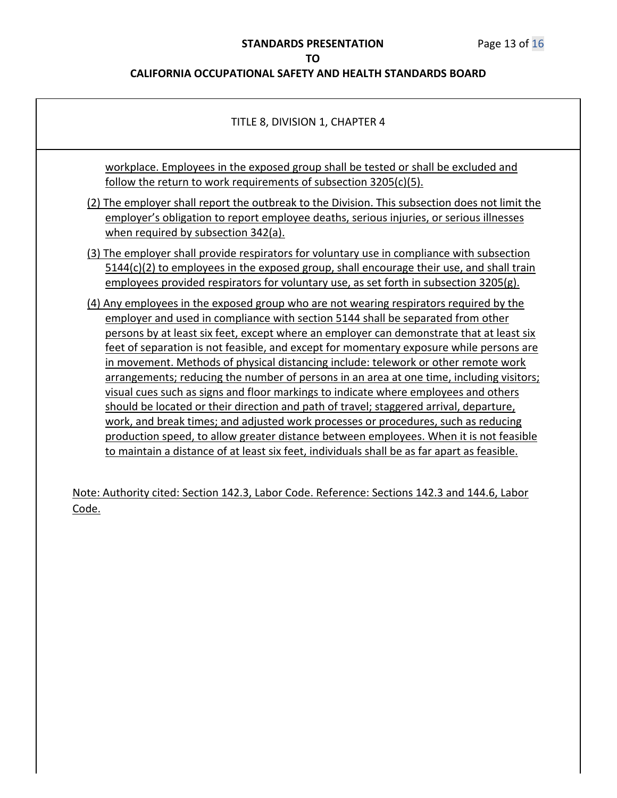# **STANDARDS PRESENTATION** Page 13 of 16

#### **TO**

# **CALIFORNIA OCCUPATIONAL SAFETY AND HEALTH STANDARDS BOARD**

| TITLE 8, DIVISION 1, CHAPTER 4                                                                                                                                                                                                                                                    |
|-----------------------------------------------------------------------------------------------------------------------------------------------------------------------------------------------------------------------------------------------------------------------------------|
| workplace. Employees in the exposed group shall be tested or shall be excluded and<br><u>follow the return to work requirements of subsection 3205(c)(5).</u>                                                                                                                     |
| (2) The employer shall report the outbreak to the Division. This subsection does not limit the<br>employer's obligation to report employee deaths, serious injuries, or serious illnesses<br>when required by subsection 342(a).                                                  |
| (3) The employer shall provide respirators for voluntary use in compliance with subsection<br>$5144(c)(2)$ to employees in the exposed group, shall encourage their use, and shall train<br>employees provided respirators for voluntary use, as set forth in subsection 3205(g). |
| (4) Any employees in the exposed group who are not wearing respirators required by the<br>employer and used in compliance with section 5144 shall be separated from other<br>persons by at least six feet, except where an employer can demonstrate that at least six             |
| feet of separation is not feasible, and except for momentary exposure while persons are<br>in movement. Methods of physical distancing include: telework or other remote work<br>arrangements; reducing the number of persons in an area at one time, including visitors;         |
| visual cues such as signs and floor markings to indicate where employees and others<br>should be located or their direction and path of travel; staggered arrival, departure,<br>work, and break times; and adjusted work processes or procedures, such as reducing               |
| production speed, to allow greater distance between employees. When it is not feasible<br>to maintain a distance of at least six feet, individuals shall be as far apart as feasible.                                                                                             |

Note: Authority cited: Section 142.3, Labor Code. Reference: Sections 142.3 and 144.6, Labor Code.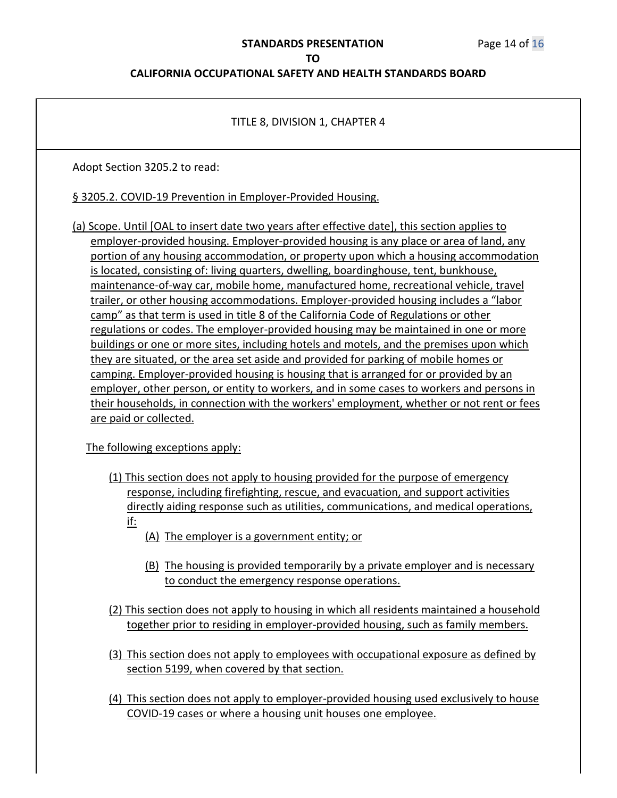#### **STANDARDS PRESENTATION** Page 14 of 16

**TO**

#### **CALIFORNIA OCCUPATIONAL SAFETY AND HEALTH STANDARDS BOARD**

#### TITLE 8, DIVISION 1, CHAPTER 4

Adopt Section 3205.2 to read:

§ 3205.2. COVID-19 Prevention in Employer-Provided Housing.

(a) Scope. Until [OAL to insert date two years after effective date], this section applies to employer-provided housing. Employer-provided housing is any place or area of land, any portion of any housing accommodation, or property upon which a housing accommodation is located, consisting of: living quarters, dwelling, boardinghouse, tent, bunkhouse, maintenance-of-way car, mobile home, manufactured home, recreational vehicle, travel trailer, or other housing accommodations. Employer-provided housing includes a "labor camp" as that term is used in title 8 of the California Code of Regulations or other regulations or codes. The employer-provided housing may be maintained in one or more buildings or one or more sites, including hotels and motels, and the premises upon which they are situated, or the area set aside and provided for parking of mobile homes or camping. Employer-provided housing is housing that is arranged for or provided by an employer, other person, or entity to workers, and in some cases to workers and persons in their households, in connection with the workers' employment, whether or not rent or fees are paid or collected.

The following exceptions apply:

- (1) This section does not apply to housing provided for the purpose of emergency response, including firefighting, rescue, and evacuation, and support activities directly aiding response such as utilities, communications, and medical operations, if:
	- (A) The employer is a government entity; or
	- (B) The housing is provided temporarily by a private employer and is necessary to conduct the emergency response operations.
- (2) This section does not apply to housing in which all residents maintained a household together prior to residing in employer-provided housing, such as family members.
- (3) This section does not apply to employees with occupational exposure as defined by section 5199, when covered by that section.
- (4) This section does not apply to employer-provided housing used exclusively to house COVID-19 cases or where a housing unit houses one employee.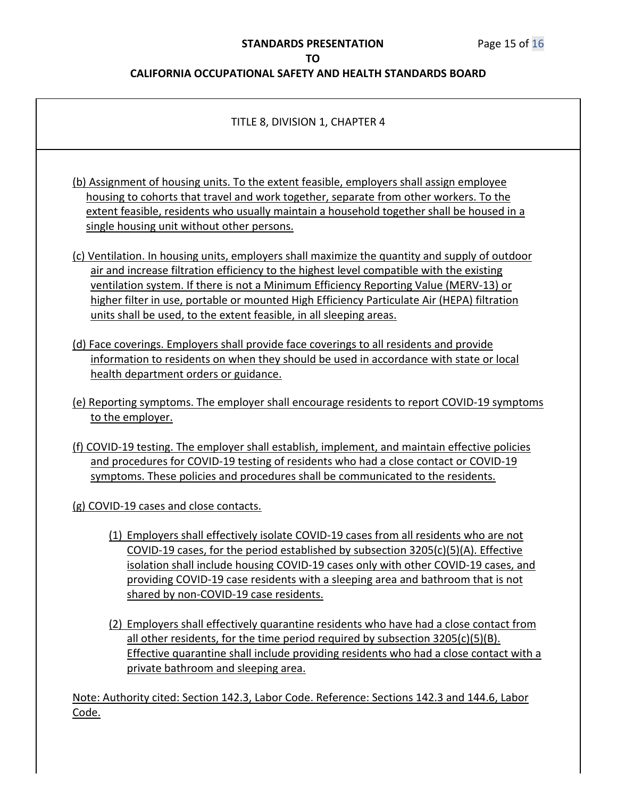#### **CALIFORNIA OCCUPATIONAL SAFETY AND HEALTH STANDARDS BOARD**

#### TITLE 8, DIVISION 1, CHAPTER 4

(b) Assignment of housing units. To the extent feasible, employers shall assign employee housing to cohorts that travel and work together, separate from other workers. To the extent feasible, residents who usually maintain a household together shall be housed in a single housing unit without other persons.

(c) Ventilation. In housing units, employers shall maximize the quantity and supply of outdoor air and increase filtration efficiency to the highest level compatible with the existing ventilation system. If there is not a Minimum Efficiency Reporting Value (MERV-13) or higher filter in use, portable or mounted High Efficiency Particulate Air (HEPA) filtration units shall be used, to the extent feasible, in all sleeping areas.

- (d) Face coverings. Employers shall provide face coverings to all residents and provide information to residents on when they should be used in accordance with state or local health department orders or guidance.
- (e) Reporting symptoms. The employer shall encourage residents to report COVID-19 symptoms to the employer.
- (f) COVID-19 testing. The employer shall establish, implement, and maintain effective policies and procedures for COVID-19 testing of residents who had a close contact or COVID-19 symptoms. These policies and procedures shall be communicated to the residents.

(g) COVID-19 cases and close contacts.

- (1) Employers shall effectively isolate COVID-19 cases from all residents who are not COVID-19 cases, for the period established by subsection 3205(c)(5)(A). Effective isolation shall include housing COVID-19 cases only with other COVID-19 cases, and providing COVID-19 case residents with a sleeping area and bathroom that is not shared by non-COVID-19 case residents.
- (2) Employers shall effectively quarantine residents who have had a close contact from all other residents, for the time period required by subsection 3205(c)(5)(B). Effective quarantine shall include providing residents who had a close contact with a private bathroom and sleeping area.

Note: Authority cited: Section 142.3, Labor Code. Reference: Sections 142.3 and 144.6, Labor Code.